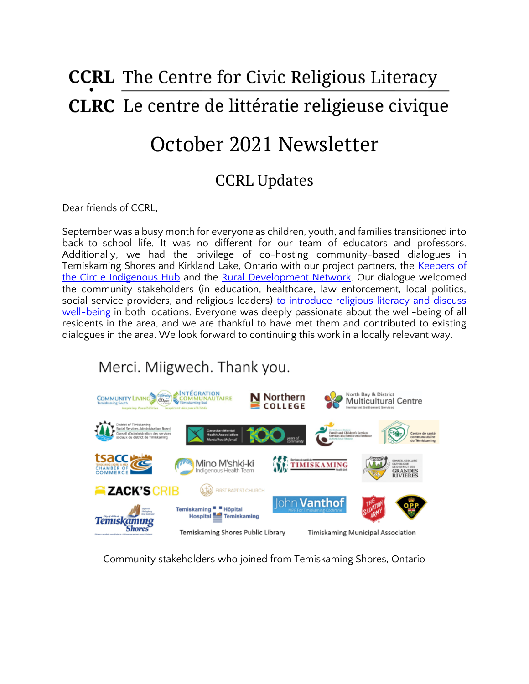# **CCRL** The Centre for Civic Religious Literacy **CLRC** Le centre de littératie religieuse civique

## October 2021 Newsletter

### CCRL Updates

Dear friends of CCRL,

September was a busy month for everyone as children, youth, and families transitioned into back-to-school life. It was no different for our team of educators and professors. Additionally, we had the privilege of co-hosting community-based dialogues in Temiskaming Shores and Kirkland Lake, Ontario with our project partners, the Keepers of [the Circle Indigenous Hub](http://keepersofthecircle.com/) and the [Rural Development Network.](https://www.ruraldevelopment.ca/) Our dialogue welcomed the community stakeholders (in education, healthcare, law enforcement, local politics, social service providers, and religious leaders) to introduce religious literacy and discuss [well-being](https://ccrl-clrc.ca/work/projects/rural-social-economic-well-being/) in both locations. Everyone was deeply passionate about the well-being of all residents in the area, and we are thankful to have met them and contributed to existing dialogues in the area. We look forward to continuing this work in a locally relevant way.

### Merci. Miigwech. Thank you.



Community stakeholders who joined from Temiskaming Shores, Ontario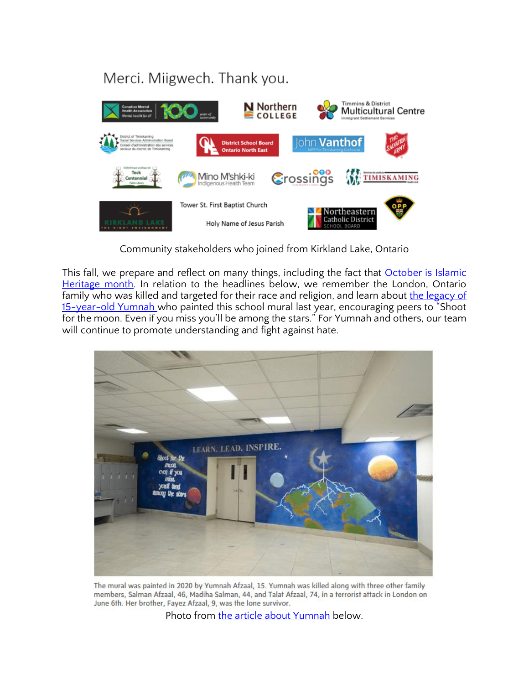### Merci. Miigwech. Thank you.



Community stakeholders who joined from Kirkland Lake, Ontario

This fall, we prepare and reflect on many things, including the fact that **October is Islamic** [Heritage month.](https://www.canada.ca/en/canadian-heritage/news/2021/09/statement-on-canadian-islamic-history-month.html) In relation to the headlines below, we remember the London, Ontario family who was killed and targeted for their race and religion, and learn about the legacy of [15-year-old Yumnah](https://www.theglobeandmail.com/canada/article-slain-teenager-yumnah-afzaals-school-mural-a-symbol-of-her-legacy-the/) who painted this school mural last year, encouraging peers to "Shoot for the moon. Even if you miss you'll be among the stars." For Yumnah and others, our team will continue to promote understanding and fight against hate.



The mural was painted in 2020 by Yumnah Afzaal, 15. Yumnah was killed along with three other family members, Salman Afzaal, 46, Madiha Salman, 44, and Talat Afzaal, 74, in a terrorist attack in London on June 6th. Her brother, Fayez Afzaal, 9, was the lone survivor.

Photo from [the article about Yumnah](https://www.theglobeandmail.com/canada/article-slain-teenager-yumnah-afzaals-school-mural-a-symbol-of-her-legacy-the/) below.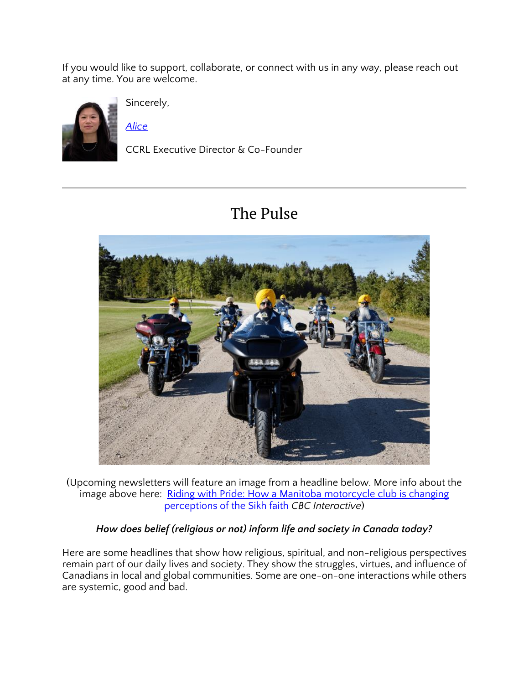If you would like to support, collaborate, or connect with us in any way, please reach out at any time. You are welcome.



Sincerely,

*[Alice](https://ccrl-clrc.ca/alice-chan/)*

CCRL Executive Director & Co-Founder

### The Pulse



(Upcoming newsletters will feature an image from a headline below. More info about the image above here: [Riding with Pride: How a Manitoba](https://newsinteractives.cbc.ca/longform/riding-with-pride) motorcycle club is changing [perceptions of the Sikh faith](https://newsinteractives.cbc.ca/longform/riding-with-pride) *CBC Interactive*)

#### *How does belief (religious or not) inform life and society in Canada today?*

Here are some headlines that show how religious, spiritual, and non-religious perspectives remain part of our daily lives and society. They show the struggles, virtues, and influence of Canadians in local and global communities. Some are one-on-one interactions while others are systemic, good and bad.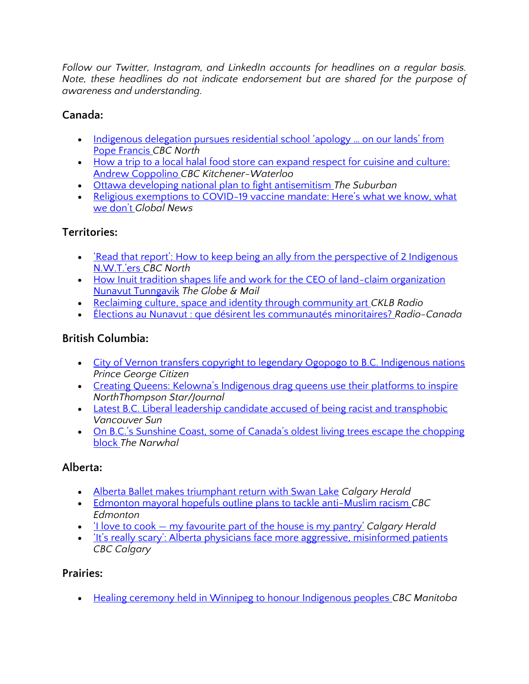*Follow our Twitter, Instagram, and LinkedIn accounts for headlines on a regular basis. Note, these headlines do not indicate endorsement but are shared for the purpose of awareness and understanding.* 

#### **Canada:**

- Indigenous delegation pursues residential school 'apology ... on our lands' from [Pope Francis](https://www.cbc.ca/news/canada/north/rome-delegation-apology-1.6211587) *CBC North*
- How a trip to a local halal food store can expand respect for cuisine and culture: [Andrew Coppolino](https://www.cbc.ca/news/canada/kitchener-waterloo/andrew-coppolino-halal-food-store-zerka-mya-kitchener-1.6212045) *CBC Kitchener-Waterloo*
- [Ottawa developing national plan to fight antisemitism](https://www.thesuburban.com/news/ottawa-developing-national-plan-to-fight-antisemitism/article_8977fbda-3e00-513e-b466-d04bcb4d943e.html) *The Suburban*
- Religious exemptions to COVID-19 vaccine mandate: Here's what we know, what [we don't](https://globalnews.ca/news/8251956/covid-19-religion-exemptions-canada/) *Global News*

#### **Territories:**

- 'Read that report': How to keep being an ally from the perspective of 2 Indigenous [N.W.T.'ers](https://www.cbc.ca/news/canada/north/gwichin-n-w-t-indigenous-allies-reconciliation-1.6197188) *CBC North*
- How Inuit tradition shapes life and work for the CEO of land-claim organization [Nunavut Tunngavik](https://www.theglobeandmail.com/business/commentary/article-how-inuit-tradition-shapes-life-and-work-for-the-ceo-of-land-claim/) *The Globe & Mail*
- [Reclaiming culture, space and identity through community art](https://cklbradio.com/2021/10/13/reclaiming-culture-space-and-identity-through-community-art/) *CKLB Radio*
- [Élections au Nunavut : que désirent les communautés minoritaires?](https://ici.radio-canada.ca/nouvelle/1832093/nunavut-election-minorites-culturelles-linguistiques-sexuelles) *Radio-Canada*

#### **British Columbia:**

- [City of Vernon transfers copyright to legendary Ogopogo to B.C. Indigenous nations](https://www.princegeorgecitizen.com/national-news/city-of-vernon-transfers-copyright-to-legendary-ogopogo-to-bc-indigenous-nations-4521018)  *Prince George Citizen*
- Creating Queens: Kelowna's Indigenous drag queens use their platforms to inspire *NorthThompson Star/Journal*
- Latest B.C. Liberal leadership candidate accused of being racist and transphobic *Vancouver Sun*
- [On B.C.'s Sunshine Coast, some of Canada's oldest living trees escape the chopping](https://thenarwhal.ca/bc-old-growth-forest-dakota-bowl/)  [block](https://thenarwhal.ca/bc-old-growth-forest-dakota-bowl/) *The Narwhal*

#### **Alberta:**

- [Alberta Ballet makes triumphant return with Swan Lake](https://calgaryherald.com/entertainment/local-arts/alberta-ballet-makes-triumphant-return-with-swan-lake) *Calgary Herald*
- [Edmonton mayoral hopefuls outline plans to tackle anti-Muslim racism](https://www.cbc.ca/news/canada/edmonton/edmonton-mayoral-hopefuls-outline-plans-to-tackle-anti-muslim-racism-1.6213018) *CBC Edmonton*
- 'I love to cook [my favourite part of the house is my pantry'](https://calgaryherald.com/life/homes/new-homes/i-love-to-cook-my-favourite-part-of-the-house-is-my-pantry) *Calgary Herald*
- It's really scary': Alberta phys[icians face more aggressive, misinformed patients](https://www.cbc.ca/news/canada/calgary/doctors-abuse-covid-exemptions-calgary-vaccine-1.6195142) *CBC Calgary*

#### **Prairies:**

• [Healing ceremony held in Winnipeg to honour Indigenous peoples](https://www.cbc.ca/news/canada/manitoba/indigenous-peoples-day-thanksgiving-winnipeg-1.6207454) *CBC Manitoba*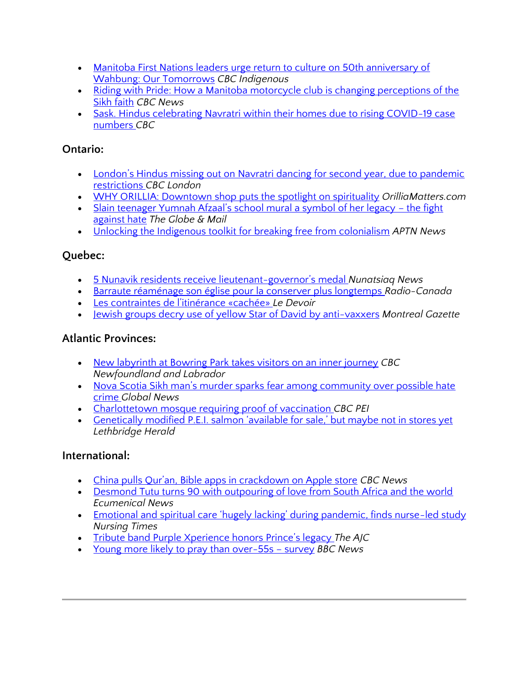- Manitoba First Nations leaders urge return to culture on 50th anniversary of [Wahbung: Our Tomorrows](https://www.cbc.ca/news/indigenous/wahbanang-manitoba-book-release-1.6205350) *CBC Indigenous*
- Riding with Pride: How a Manitoba motorcycle club is changing perceptions of the [Sikh faith](https://newsinteractives.cbc.ca/longform/riding-with-pride) *CBC News*
- Sask. Hindus celebrating Navratri within their homes due to rising COVID-19 case [numbers](https://www.cbc.ca/news/sask-hindus-celebrating-navratri-within-their-homes-due-to-pandemic-restrictions-1.6209622) *CBC*

#### **Ontario:**

- London's Hindus missing out on Navratri dancing for second year, due to pandemic [restrictions](https://www.cbc.ca/news/canada/london/london-s-hindus-missing-out-on-navratri-dancing-for-second-year-due-to-pandemic-restrictions-1.6205020) *CBC London*
- [WHY ORILLIA: Downtown shop puts the spotlight on spirituality](https://www.orilliamatters.com/local-news/why-orillia-downtown-shop-puts-the-spotlight-on-spirituality-4495141) *OrilliaMatters.com*
- [Slain teenager Yumnah Afzaal's school mural a symbol of her legacy –](https://www.theglobeandmail.com/canada/article-slain-teenager-yumnah-afzaals-school-mural-a-symbol-of-her-legacy-the/) the fight [against hate](https://www.theglobeandmail.com/canada/article-slain-teenager-yumnah-afzaals-school-mural-a-symbol-of-her-legacy-the/) *The Globe & Mail*
- [Unlocking the Indigenous toolkit for breaking free from colonialism](https://www.aptnnews.ca/investigates/unlocking-the-indigenous-toolkit-for-breaking-free-from-colonialism/) *APTN News*

#### **Quebec:**

- [5 Nunavik residents receive lieutenant-](https://nunatsiaq.com/stories/article/5-nunavik-residents-receive-lieutenant-governors-medal/)governor's medal *Nunatsiaq News*
- [Barraute réaménage son église pour la conserver plus longtemps](https://ici.radio-canada.ca/nouvelle/1832176/eglise-barraute-sauvegarde-patrimoine-religieux) *Radio-Canada*
- [Les contraintes de l'itinérance «cachée»](https://www.ledevoir.com/societe/640578/les-contraintes-de-l-itinerance-cachee) *Le Devoir*
- [Jewish groups decry use of yellow Star of David by anti-vaxxers](https://montrealgazette.com/news/jewish-groups-decry-use-of-yellow-star-of-david-by-anti-vaxxers) *Montreal Gazette*

#### **Atlantic Provinces:**

- [New labyrinth at Bowring Park takes visitors on an inner journey](https://www.cbc.ca/news/canada/newfoundland-labrador/bowring-park-labyrinth-1.6210850) *CBC Newfoundland and Labrador*
- Nova Scotia Sikh man's murder sparks fear among community over possible hate [crime](https://globalnews.ca/video/8257529/nova-scotia-sikh-mans-murder-sparks-fear-among-community-over-possible-hate-crime) *Global News*
- [Charlottetown mosque requiring proof of vaccination](https://www.cbc.ca/news/canada/prince-edward-island/pei-religion-prayer-covid-19-1.6210013) *CBC PEI*
- [Genetically modified P.E.I. salmon 'available for sale,' but maybe not in stores yet](https://lethbridgeherald.com/business/2021/10/13/genetically-modified-pei-salmon-available-for-sale-but-maybe-not-in-stores-yet/) *Lethbridge Herald*

#### **International:**

- [China pulls Qur'an, Bible apps in crackdown on Apple store](https://www.cbc.ca/news/science/china-qur-an-bible-audible-apple-store-crackdown-1.6213251) *CBC News*
- [Desmond Tutu turns 90 with outpouring of love from South Africa and the world](https://www.ecumenicalnews.com/article/desmond-tutu-turns-90-with-outpouring-of-love-from-south-africa-and-the-world/60927.htm) *Ecumenical News*
- [Emotional and spiritual care 'hugely lacking' during pandemic, finds nurse](https://www.nursingtimes.net/news/research-and-innovation/emotional-and-spiritual-care-hugely-lacking-during-pandemic-finds-nurse-led-study-11-10-2021/)-led study *Nursing Times*
- [Tribute band Purple Xperience honors Prince's legacy](https://www.ajc.com/life/radiotvtalk-blog/tribute-band-purple-xperience-honors-princes-legacy/XLJKPUKXERAIPMMTCDHTOH6O64/) *The AJC*
- [Young more likely to pray than over-55s](https://www.bbc.com/news/uk-58681075)  survey *BBC News*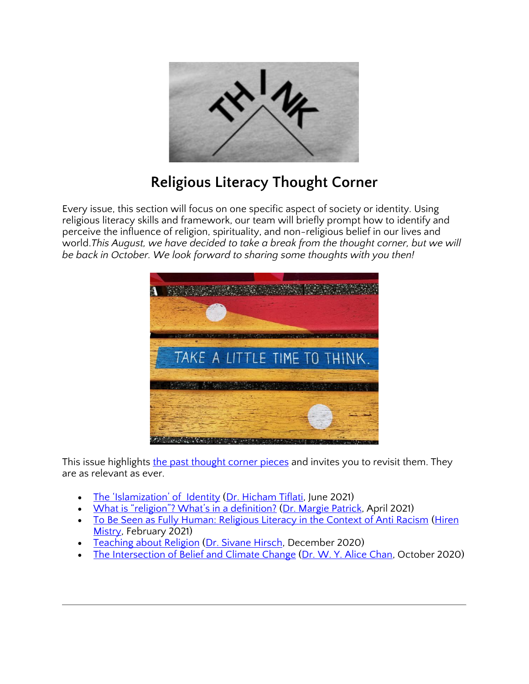

### **Religious Literacy Thought Corner**

Every issue, this section will focus on one specific aspect of society or identity. Using religious literacy skills and framework, our team will briefly prompt how to identify and perceive the influence of religion, spirituality, and non-religious belief in our lives and world.*This August, we have decided to take a break from the thought corner, but we will be back in October. We look forward to sharing some thoughts with you then!*



This issue highlights the past [thought corner pieces](https://ccrl-clrc.ca/religious-literacy-resources/thought-corner/) and invites you to revisit them. They are as relevant as ever.

- [The 'Islamization' of](https://ccrl-clrc.ca/islamization-of-identity/) Identity [\(Dr. Hicham Tiflati,](https://ccrl-clrc.ca/hicham-tiflati/) June 2021)
- [What is "religion"? What's in a definition?](https://ccrl-clrc.ca/defining-religion/) [\(Dr. Margie Patrick,](https://ccrl-clrc.ca/margie-patrick/) April 2021)
- [To Be Seen as Fully Human: Religious Literacy in the Context of Anti Racism](https://ccrl-clrc.ca/religious-literacy-and-anti-racism/) [\(Hiren](https://ccrl-clrc.ca/about-ccrl/team/)  [Mistry,](https://ccrl-clrc.ca/about-ccrl/team/) February 2021)
- [Teaching about Religion](https://ccrl-clrc.ca/teaching-about-religion/) [\(Dr. Sivane Hirsch,](https://ccrl-clrc.ca/sivanehirsch/) December 2020)
- [The Intersection of Belief and Climate Change](https://ccrl-clrc.ca/belief-and-climate-change/) [\(Dr. W. Y. Alice Chan,](https://ccrl-clrc.ca/alice-chan/) October 2020)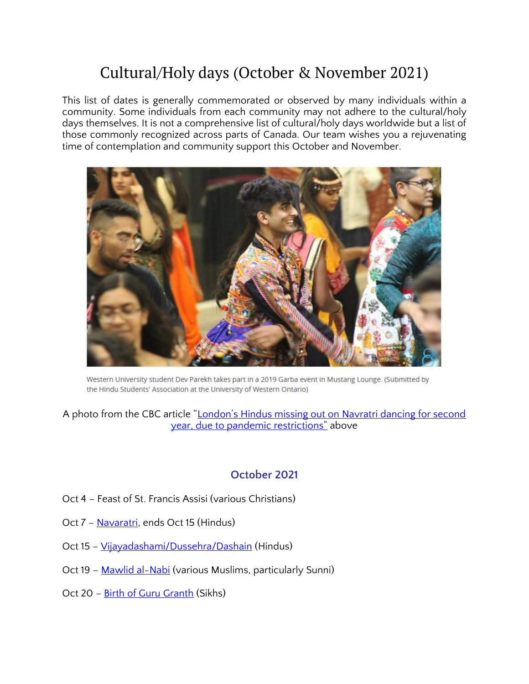### Cultural/Holy days (October & November 2021)

This list of dates is generally commemorated or observed by many individuals within a community. Some individuals from each community may not adhere to the cultural/holy days themselves. It is not a comprehensive list of cultural/holy days worldwide but a list of those commonly recognized across parts of Canada. Our team wishes you a rejuvenating time of contemplation and community support this October and November.



Western University student Dev Parekh takes part in a 2019 Garba event in Mustang Lounge. (Submitted by the Hindu Students' Association at the University of Western Ontario)

A photo from the CBC article ["London's Hindus missing out on Navratri dancing for second](https://www.cbc.ca/news/canada/london/london-s-hindus-missing-out-on-navratri-dancing-for-second-year-due-to-pandemic-restrictions-1.6205020)  [year, due to pandemic restrictions"](https://www.cbc.ca/news/canada/london/london-s-hindus-missing-out-on-navratri-dancing-for-second-year-due-to-pandemic-restrictions-1.6205020) above

#### **October 2021**

- Oct 4 Feast of St. Francis Assisi (various Christians)
- Oct 7 [Navaratri,](https://www.britannica.com/topic/Navratri) ends Oct 15 (Hindus)
- Oct 15 [Vijayadashami/Dussehra/Dashain](https://www.britannica.com/topic/Dussehra) (Hindus)
- Oct 19 [Mawlid al-Nabi](http://www.oxfordislamicstudies.com/article/opr/t125/e1483) (various Muslims, particularly Sunni)
- Oct 20 [Birth of Guru Granth](https://www.sikhs.org/granth1.htm) (Sikhs)